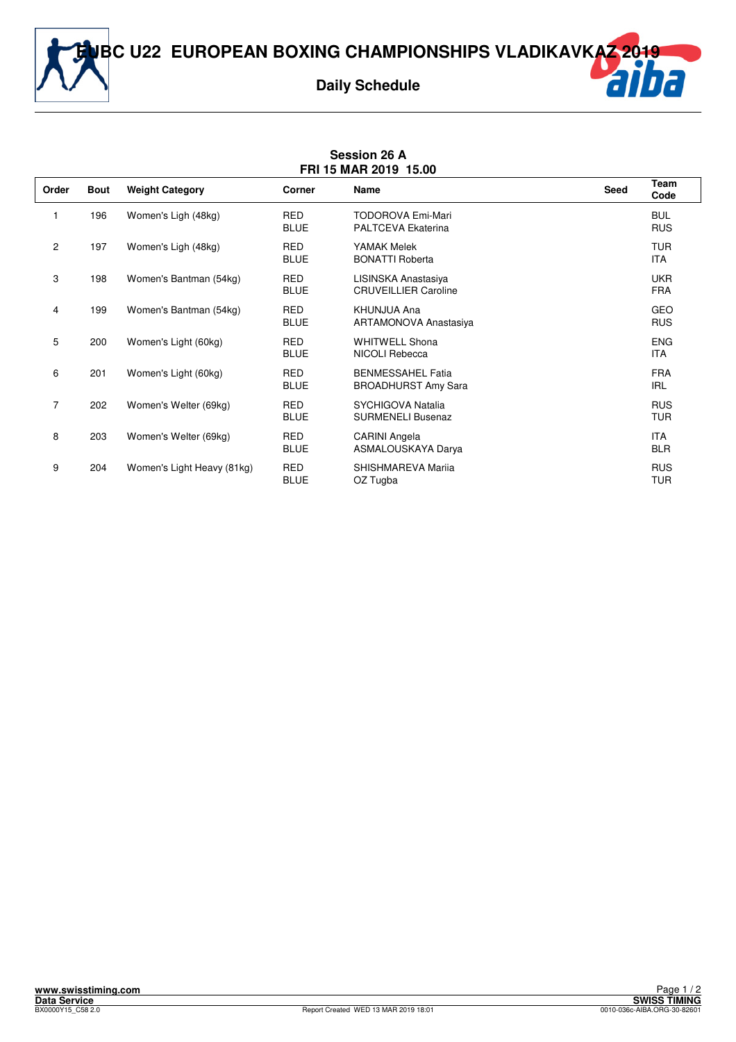**EUBC U22 EUROPEAN BOXING CHAMPIONSHIPS VLADIKAVKAZ 2019**



| <b>Session 26 A</b><br>FRI 15 MAR 2019 15.00 |             |                            |                           |                                                        |             |                          |  |  |  |  |
|----------------------------------------------|-------------|----------------------------|---------------------------|--------------------------------------------------------|-------------|--------------------------|--|--|--|--|
| Order                                        | <b>Bout</b> | <b>Weight Category</b>     | Corner                    | <b>Name</b>                                            | <b>Seed</b> | <b>Team</b><br>Code      |  |  |  |  |
| 1                                            | 196         | Women's Ligh (48kg)        | <b>RED</b><br><b>BLUE</b> | <b>TODOROVA Emi-Mari</b><br><b>PALTCEVA Ekaterina</b>  |             | <b>BUL</b><br><b>RUS</b> |  |  |  |  |
| $\overline{2}$                               | 197         | Women's Ligh (48kg)        | <b>RED</b><br><b>BLUE</b> | YAMAK Melek<br><b>BONATTI Roberta</b>                  |             | <b>TUR</b><br><b>ITA</b> |  |  |  |  |
| 3                                            | 198         | Women's Bantman (54kg)     | <b>RED</b><br><b>BLUE</b> | LISINSKA Anastasiya<br><b>CRUVEILLIER Caroline</b>     |             | <b>UKR</b><br><b>FRA</b> |  |  |  |  |
| 4                                            | 199         | Women's Bantman (54kg)     | <b>RED</b><br><b>BLUE</b> | KHUNJUA Ana<br><b>ARTAMONOVA Anastasiya</b>            |             | <b>GEO</b><br><b>RUS</b> |  |  |  |  |
| 5                                            | 200         | Women's Light (60kg)       | <b>RED</b><br><b>BLUE</b> | <b>WHITWELL Shona</b><br>NICOLI Rebecca                |             | <b>ENG</b><br><b>ITA</b> |  |  |  |  |
| 6                                            | 201         | Women's Light (60kg)       | <b>RED</b><br><b>BLUE</b> | <b>BENMESSAHEL Fatia</b><br><b>BROADHURST Amy Sara</b> |             | <b>FRA</b><br><b>IRL</b> |  |  |  |  |
| $\overline{7}$                               | 202         | Women's Welter (69kg)      | <b>RED</b><br><b>BLUE</b> | SYCHIGOVA Natalia<br><b>SURMENELI Busenaz</b>          |             | <b>RUS</b><br><b>TUR</b> |  |  |  |  |
| 8                                            | 203         | Women's Welter (69kg)      | <b>RED</b><br><b>BLUE</b> | <b>CARINI Angela</b><br>ASMALOUSKAYA Darya             |             | <b>ITA</b><br><b>BLR</b> |  |  |  |  |
| 9                                            | 204         | Women's Light Heavy (81kg) | <b>RED</b><br><b>BLUE</b> | SHISHMAREVA Marija<br>OZ Tugba                         |             | <b>RUS</b><br><b>TUR</b> |  |  |  |  |

## **www.swisstiming.com Data Service SWISS TIMING**